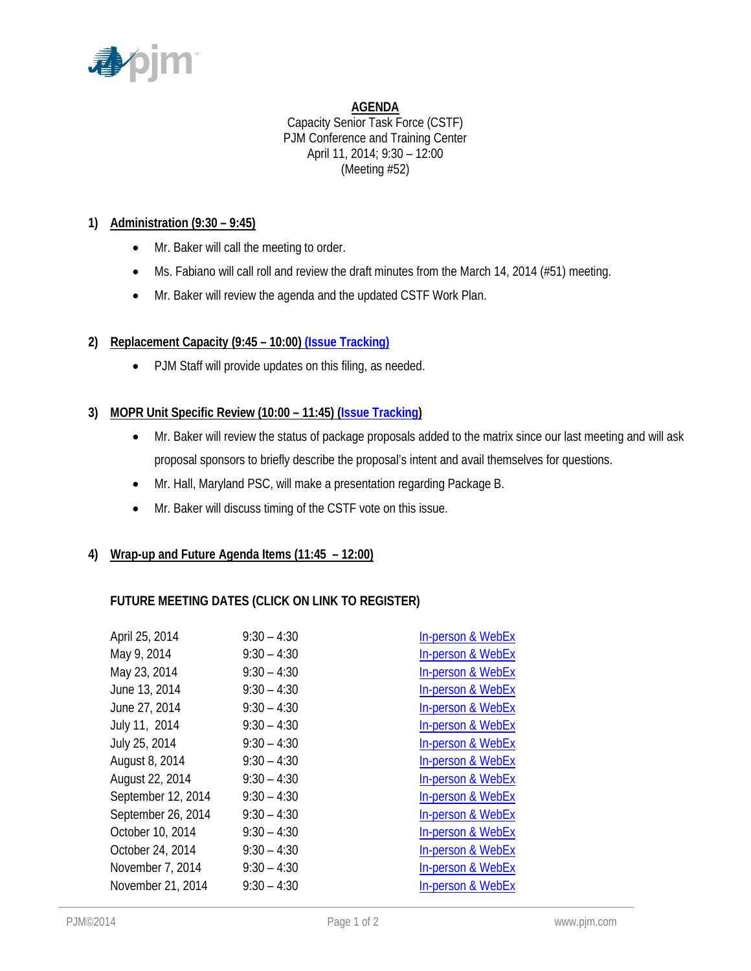

#### **AGENDA**

Capacity Senior Task Force (CSTF) PJM Conference and Training Center April 11, 2014; 9:30 – 12:00 (Meeting #52)

### **1) Administration (9:30 – 9:45)**

- Mr. Baker will call the meeting to order.
- Ms. Fabiano will call roll and review the draft minutes from the March 14, 2014 (#51) meeting.
- Mr. Baker will review the agenda and the updated CSTF Work Plan.

# **2) Replacement Capacity (9:45 – 10:00[\) \(Issue Tracking\)](http://www.pjm.com/committees-and-groups/issue-tracking/issue-tracking-details.aspx?Issue=%7b0D0E7DC9-432E-4207-B27D-9EF7D07ADC25%7d)**

• PJM Staff will provide updates on this filing, as needed.

### **3) MOPR Unit Specific Review (10:00 – 11:45) [\(Issue Tracking\)](http://www.pjm.com/committees-and-groups/issue-tracking/issue-tracking-details.aspx?Issue=%7b615F4A47-A683-4E2F-90EA-10FFFCBFA91D%7d)**

- Mr. Baker will review the status of package proposals added to the matrix since our last meeting and will ask proposal sponsors to briefly describe the proposal's intent and avail themselves for questions.
- Mr. Hall, Maryland PSC, will make a presentation regarding Package B.
- Mr. Baker will discuss timing of the CSTF vote on this issue.

# **4) Wrap-up and Future Agenda Items (11:45 – 12:00)**

# **FUTURE MEETING DATES (CLICK ON LINK TO REGISTER)**

| April 25, 2014     | $9:30 - 4:30$ | <b>In-person &amp; WebEx</b> |
|--------------------|---------------|------------------------------|
| May 9, 2014        | $9:30 - 4:30$ | In-person & WebEx            |
| May 23, 2014       | $9:30 - 4:30$ | In-person & WebEx            |
| June 13, 2014      | $9:30 - 4:30$ | In-person & WebEx            |
| June 27, 2014      | $9:30 - 4:30$ | In-person & WebEx            |
| July 11, 2014      | $9:30 - 4:30$ | In-person & WebEx            |
| July 25, 2014      | $9:30 - 4:30$ | In-person & WebEx            |
| August 8, 2014     | $9:30 - 4:30$ | <b>In-person &amp; WebEx</b> |
| August 22, 2014    | $9:30 - 4:30$ | In-person & WebEx            |
| September 12, 2014 | $9:30 - 4:30$ | In-person & WebEx            |
| September 26, 2014 | $9:30 - 4:30$ | In-person & WebEx            |
| October 10, 2014   | $9:30 - 4:30$ | In-person & WebEx            |
| October 24, 2014   | $9:30 - 4:30$ | In-person & WebEx            |
| November 7, 2014   | $9:30 - 4:30$ | In-person & WebEx            |
| November 21, 2014  | $9:30 - 4:30$ | In-person & WebEx            |
|                    |               |                              |